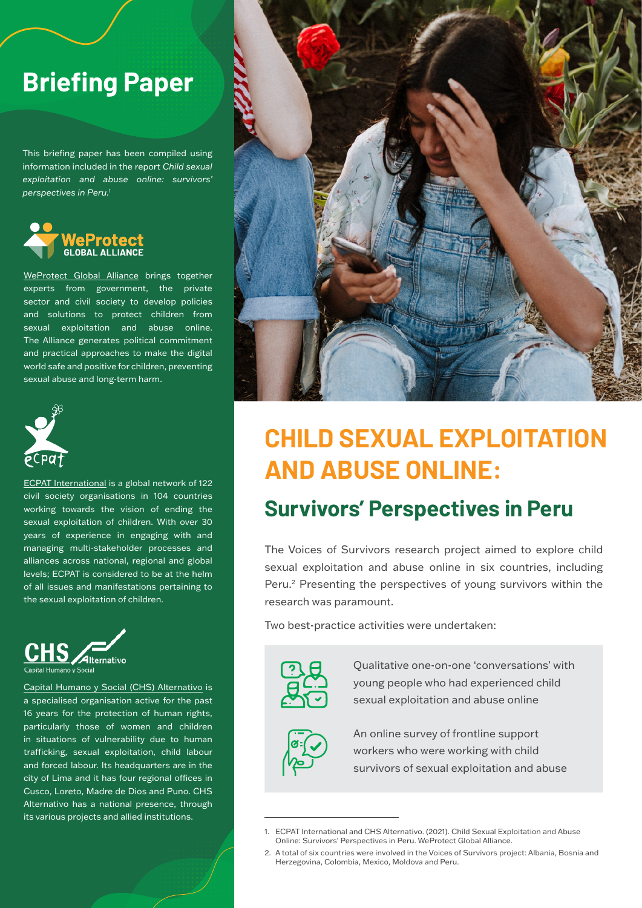# **Briefing Paper**

This briefing paper has been compiled using information included in the report *Child sexual exploitation and abuse online: survivors' perspectives in Peru.1*



[WeProtect Global Alliance](https://www.weprotect.org/) brings together experts from government, the private sector and civil society to develop policies and solutions to protect children from sexual exploitation and abuse online. The Alliance generates political commitment and practical approaches to make the digital world safe and positive for children, preventing sexual abuse and long-term harm.



[ECPAT International](https://www.ecpat.org/) is a global network of 122 civil society organisations in 104 countries working towards the vision of ending the sexual exploitation of children. With over 30 years of experience in engaging with and managing multi-stakeholder processes and alliances across national, regional and global levels; ECPAT is considered to be at the helm of all issues and manifestations pertaining to the sexual exploitation of children.



[Capital Humano y Social \(CHS\) Alternativo](https://chsalternativo.org/) is a specialised organisation active for the past 16 years for the protection of human rights, particularly those of women and children in situations of vulnerability due to human trafficking, sexual exploitation, child labour and forced labour. Its headquarters are in the city of Lima and it has four regional offices in Cusco, Loreto, Madre de Dios and Puno. CHS Alternativo has a national presence, through its various projects and allied institutions.



# **CHILD SEXUAL EXPLOITATION AND ABUSE ONLINE:**

### **Survivors' Perspectives in Peru**

The Voices of Survivors research project aimed to explore child sexual exploitation and abuse online in six countries, including Peru.2 Presenting the perspectives of young survivors within the research was paramount.

Two best-practice activities were undertaken:



Qualitative one-on-one 'conversations' with young people who had experienced child sexual exploitation and abuse online



An online survey of frontline support workers who were working with child survivors of sexual exploitation and abuse

<sup>1.</sup> ECPAT International and CHS Alternativo. (2021). Child Sexual Exploitation and Abuse Online: Survivors' Perspectives in Peru. WeProtect Global Alliance.

<sup>2.</sup> A total of six countries were involved in the Voices of Survivors project: Albania, Bosnia and Herzegovina, Colombia, Mexico, Moldova and Peru.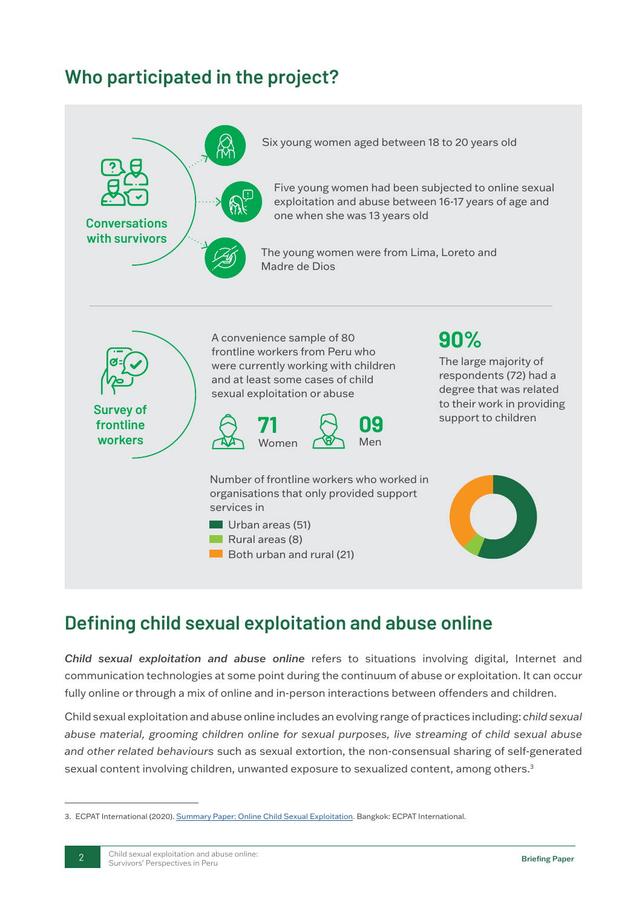## **Who participated in the project?**



## **Defining child sexual exploitation and abuse online**

*Child sexual exploitation and abuse online* refers to situations involving digital, Internet and communication technologies at some point during the continuum of abuse or exploitation. It can occur fully online or through a mix of online and in-person interactions between offenders and children.

Child sexual exploitation and abuse online includes an evolving range of practices including: *child sexual abuse material, grooming children online for sexual purposes, live streaming of child sexual abuse and other related behaviours* such as sexual extortion, the non-consensual sharing of self-generated sexual content involving children, unwanted exposure to sexualized content, among others.<sup>3</sup>

<sup>3.</sup> ECPAT International (2020). [Summary Paper: Online Child Sexual Exploitation](https://www.ecpat.org/wp-content/uploads/2020/12/ECPAT-Summary-paper-on-Online-Child-Sexual-Exploitation-2020.pdf). Bangkok: ECPAT International.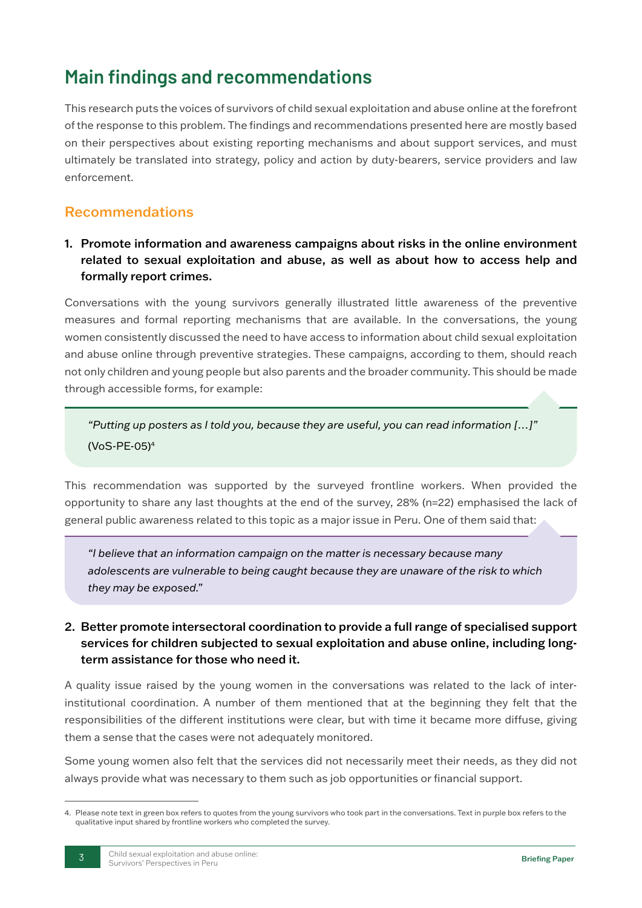## **Main findings and recommendations**

This research puts the voices of survivors of child sexual exploitation and abuse online at the forefront of the response to this problem. The findings and recommendations presented here are mostly based on their perspectives about existing reporting mechanisms and about support services, and must ultimately be translated into strategy, policy and action by duty-bearers, service providers and law enforcement.

### Recommendations

#### 1. Promote information and awareness campaigns about risks in the online environment related to sexual exploitation and abuse, as well as about how to access help and formally report crimes.

Conversations with the young survivors generally illustrated little awareness of the preventive measures and formal reporting mechanisms that are available. In the conversations, the young women consistently discussed the need to have access to information about child sexual exploitation and abuse online through preventive strategies. These campaigns, according to them, should reach not only children and young people but also parents and the broader community. This should be made through accessible forms, for example:

*"Putting up posters as I told you, because they are useful, you can read information […]"*  (VoS-PE-05)4

This recommendation was supported by the surveyed frontline workers. When provided the opportunity to share any last thoughts at the end of the survey, 28% (n=22) emphasised the lack of general public awareness related to this topic as a major issue in Peru. One of them said that:

*"I believe that an information campaign on the matter is necessary because many adolescents are vulnerable to being caught because they are unaware of the risk to which they may be exposed."*

### 2. Better promote intersectoral coordination to provide a full range of specialised support services for children subjected to sexual exploitation and abuse online, including longterm assistance for those who need it.

A quality issue raised by the young women in the conversations was related to the lack of interinstitutional coordination. A number of them mentioned that at the beginning they felt that the responsibilities of the different institutions were clear, but with time it became more diffuse, giving them a sense that the cases were not adequately monitored.

Some young women also felt that the services did not necessarily meet their needs, as they did not always provide what was necessary to them such as job opportunities or financial support.

<sup>4.</sup> Please note text in green box refers to quotes from the young survivors who took part in the conversations. Text in purple box refers to the qualitative input shared by frontline workers who completed the survey.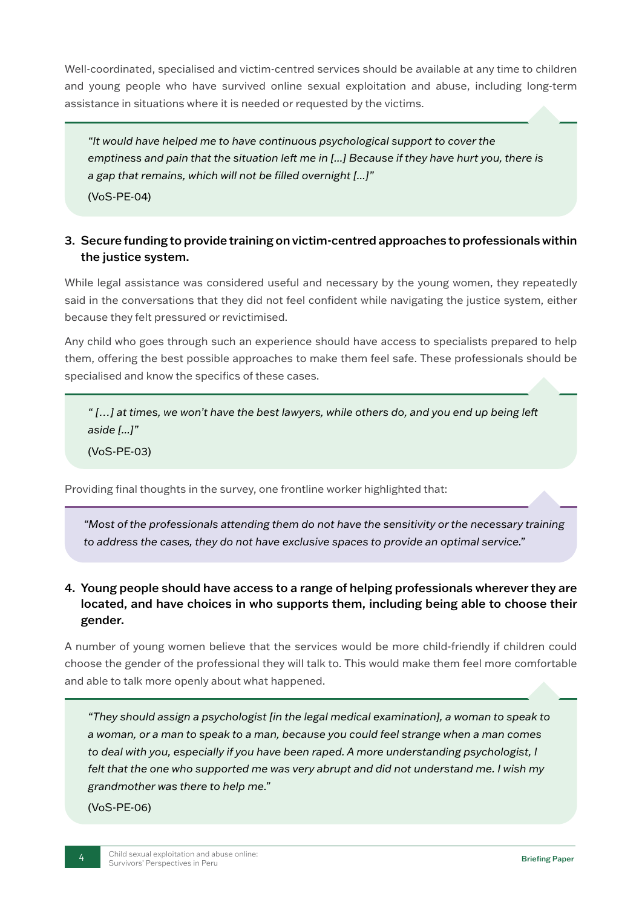Well-coordinated, specialised and victim-centred services should be available at any time to children and young people who have survived online sexual exploitation and abuse, including long-term assistance in situations where it is needed or requested by the victims.

*"It would have helped me to have continuous psychological support to cover the emptiness and pain that the situation left me in [...] Because if they have hurt you, there is a gap that remains, which will not be filled overnight [...]"* 

(VoS-PE-04)

#### 3. Secure funding to provide training on victim-centred approaches to professionals within the justice system.

While legal assistance was considered useful and necessary by the young women, they repeatedly said in the conversations that they did not feel confident while navigating the justice system, either because they felt pressured or revictimised.

Any child who goes through such an experience should have access to specialists prepared to help them, offering the best possible approaches to make them feel safe. These professionals should be specialised and know the specifics of these cases.

*" […] at times, we won't have the best lawyers, while others do, and you end up being left aside [...]"* 

(VoS-PE-03)

Providing final thoughts in the survey, one frontline worker highlighted that:

*"Most of the professionals attending them do not have the sensitivity or the necessary training to address the cases, they do not have exclusive spaces to provide an optimal service."*

### 4. Young people should have access to a range of helping professionals wherever they are located, and have choices in who supports them, including being able to choose their gender.

A number of young women believe that the services would be more child-friendly if children could choose the gender of the professional they will talk to. This would make them feel more comfortable and able to talk more openly about what happened.

*"They should assign a psychologist [in the legal medical examination], a woman to speak to a woman, or a man to speak to a man, because you could feel strange when a man comes to deal with you, especially if you have been raped. A more understanding psychologist, I felt that the one who supported me was very abrupt and did not understand me. I wish my grandmother was there to help me."* 

(VoS-PE-06)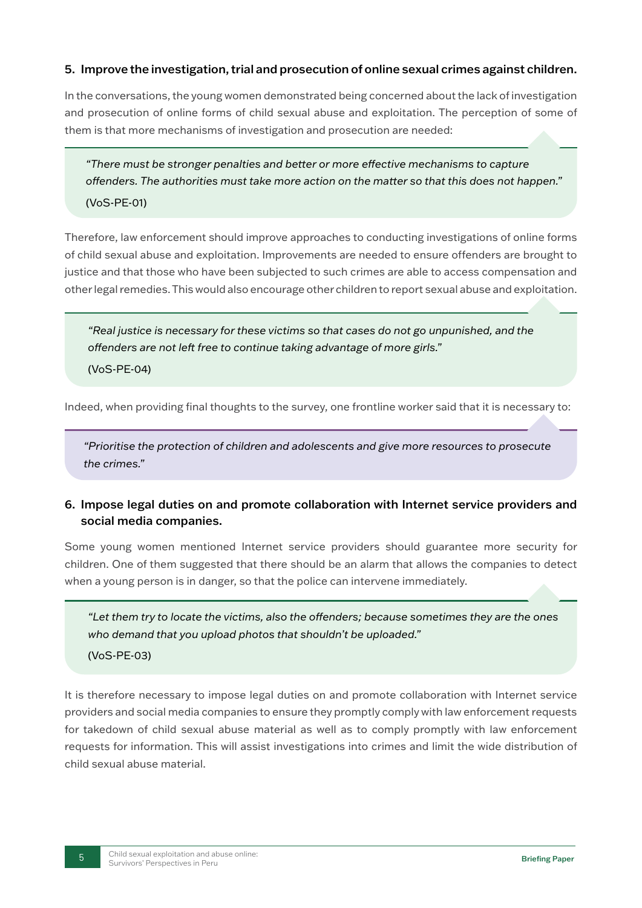#### 5. Improve the investigation, trial and prosecution of online sexual crimes against children.

In the conversations, the young women demonstrated being concerned about the lack of investigation and prosecution of online forms of child sexual abuse and exploitation. The perception of some of them is that more mechanisms of investigation and prosecution are needed:

*"There must be stronger penalties and better or more effective mechanisms to capture offenders. The authorities must take more action on the matter so that this does not happen."*  (VoS-PE-01)

Therefore, law enforcement should improve approaches to conducting investigations of online forms of child sexual abuse and exploitation. Improvements are needed to ensure offenders are brought to justice and that those who have been subjected to such crimes are able to access compensation and other legal remedies. This would also encourage other children to report sexual abuse and exploitation.

*"Real justice is necessary for these victims so that cases do not go unpunished, and the offenders are not left free to continue taking advantage of more girls."*  (VoS-PE-04)

Indeed, when providing final thoughts to the survey, one frontline worker said that it is necessary to:

*"Prioritise the protection of children and adolescents and give more resources to prosecute the crimes."*

#### 6. Impose legal duties on and promote collaboration with Internet service providers and social media companies.

Some young women mentioned Internet service providers should guarantee more security for children. One of them suggested that there should be an alarm that allows the companies to detect when a young person is in danger, so that the police can intervene immediately.

*"Let them try to locate the victims, also the offenders; because sometimes they are the ones who demand that you upload photos that shouldn't be uploaded."* 

(VoS-PE-03)

It is therefore necessary to impose legal duties on and promote collaboration with Internet service providers and social media companies to ensure they promptly comply with law enforcement requests for takedown of child sexual abuse material as well as to comply promptly with law enforcement requests for information. This will assist investigations into crimes and limit the wide distribution of child sexual abuse material.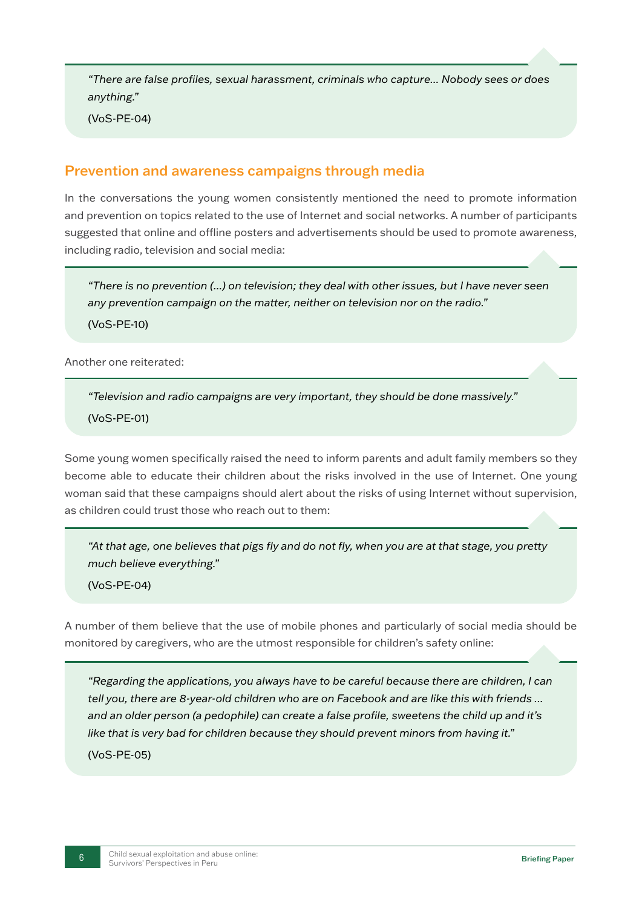*"There are false profiles, sexual harassment, criminals who capture... Nobody sees or does anything."* 

(VoS-PE-04)

#### Prevention and awareness campaigns through media

In the conversations the young women consistently mentioned the need to promote information and prevention on topics related to the use of Internet and social networks. A number of participants suggested that online and offline posters and advertisements should be used to promote awareness, including radio, television and social media:

*"There is no prevention (...) on television; they deal with other issues, but I have never seen any prevention campaign on the matter, neither on television nor on the radio."*  (VoS-PE-10)

Another one reiterated:

*"Television and radio campaigns are very important, they should be done massively."* 

(VoS-PE-01)

Some young women specifically raised the need to inform parents and adult family members so they become able to educate their children about the risks involved in the use of Internet. One young woman said that these campaigns should alert about the risks of using Internet without supervision, as children could trust those who reach out to them:

*"At that age, one believes that pigs fly and do not fly, when you are at that stage, you pretty much believe everything."* 

(VoS-PE-04)

A number of them believe that the use of mobile phones and particularly of social media should be monitored by caregivers, who are the utmost responsible for children's safety online:

*"Regarding the applications, you always have to be careful because there are children, I can tell you, there are 8-year-old children who are on Facebook and are like this with friends ... and an older person (a pedophile) can create a false profile, sweetens the child up and it's like that is very bad for children because they should prevent minors from having it."*  (VoS-PE-05)